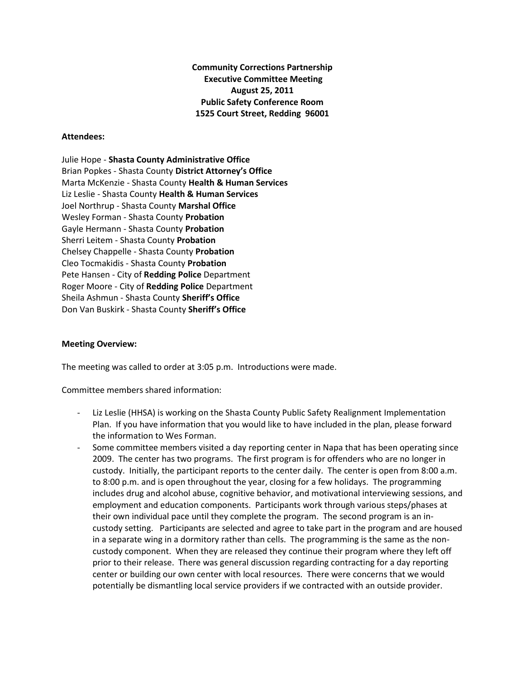**Community Corrections Partnership Executive Committee Meeting August 25, 2011 Public Safety Conference Room 1525 Court Street, Redding 96001**

## **Attendees:**

Julie Hope - **Shasta County Administrative Office** Brian Popkes - Shasta County **District Attorney's Office** Marta McKenzie - Shasta County **Health & Human Services** Liz Leslie - Shasta County **Health & Human Services** Joel Northrup - Shasta County **Marshal Office** Wesley Forman - Shasta County **Probation** Gayle Hermann - Shasta County **Probation** Sherri Leitem - Shasta County **Probation** Chelsey Chappelle - Shasta County **Probation** Cleo Tocmakidis - Shasta County **Probation** Pete Hansen - City of **Redding Police** Department Roger Moore - City of **Redding Police** Department Sheila Ashmun - Shasta County **Sheriff's Office** Don Van Buskirk - Shasta County **Sheriff's Office**

## **Meeting Overview:**

The meeting was called to order at 3:05 p.m. Introductions were made.

Committee members shared information:

- Liz Leslie (HHSA) is working on the Shasta County Public Safety Realignment Implementation Plan. If you have information that you would like to have included in the plan, please forward the information to Wes Forman.
- Some committee members visited a day reporting center in Napa that has been operating since 2009. The center has two programs. The first program is for offenders who are no longer in custody. Initially, the participant reports to the center daily. The center is open from 8:00 a.m. to 8:00 p.m. and is open throughout the year, closing for a few holidays. The programming includes drug and alcohol abuse, cognitive behavior, and motivational interviewing sessions, and employment and education components. Participants work through various steps/phases at their own individual pace until they complete the program. The second program is an incustody setting. Participants are selected and agree to take part in the program and are housed in a separate wing in a dormitory rather than cells. The programming is the same as the noncustody component. When they are released they continue their program where they left off prior to their release. There was general discussion regarding contracting for a day reporting center or building our own center with local resources. There were concerns that we would potentially be dismantling local service providers if we contracted with an outside provider.